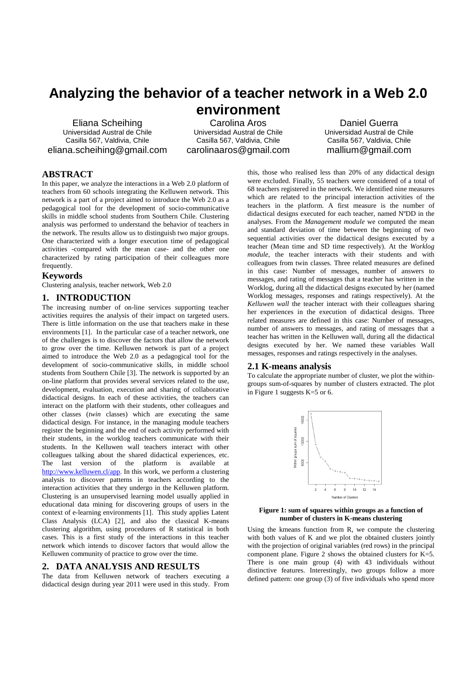# **Analyzing the behavior of a teacher network in a Web 2.0 environment**

Eliana Scheihing Universidad Austral de Chile Casilla 567, Valdivia, Chile eliana.scheihing@gmail.com

Carolina Aros Universidad Austral de Chile Casilla 567, Valdivia, Chile carolinaaros@gmail.com

Daniel Guerra Universidad Austral de Chile Casilla 567, Valdivia, Chile mallium@gmail.com

# **ABSTRACT**

In this paper, we analyze the interactions in a Web 2.0 platform of teachers from 60 schools integrating the Kelluwen network. This network is a part of a project aimed to introduce the Web 2.0 as a pedagogical tool for the development of socio-communicative skills in middle school students from Southern Chile. Clustering analysis was performed to understand the behavior of teachers in the network. The results allow us to distinguish two major groups. One characterized with a longer execution time of pedagogical activities -compared with the mean case- and the other one characterized by rating participation of their colleagues more frequently.

### **Keywords**

Clustering analysis, teacher network, Web 2.0

## **1. INTRODUCTION**

The increasing number of on-line services supporting teacher activities requires the analysis of their impact on targeted users. There is little information on the use that teachers make in these environments [1]. In the particular case of a teacher network, one of the challenges is to discover the factors that allow the network to grow over the time. Kelluwen network is part of a project aimed to introduce the Web 2.0 as a pedagogical tool for the development of socio-communicative skills, in middle school students from Southern Chile [3]. The network is supported by an on-line platform that provides several services related to the use, development, evaluation, execution and sharing of collaborative didactical designs. In each of these activities, the teachers can interact on the platform with their students, other colleagues and other classes (*twin* classes) which are executing the same didactical design. For instance, in the managing module teachers register the beginning and the end of each activity performed with their students, in the worklog teachers communicate with their students. In the Kelluwen wall teachers interact with other colleagues talking about the shared didactical experiences, etc. The last version of the platform is available at http://www.kelluwen.cl/app. In this work, we perform a clustering analysis to discover patterns in teachers according to the interaction activities that they undergo in the Kelluwen platform. Clustering is an unsupervised learning model usually applied in educational data mining for discovering groups of users in the context of e-learning environments [1]. This study applies Latent Class Analysis (LCA) [2], and also the classical K-means clustering algorithm, using procedures of R statistical in both cases. This is a first study of the interactions in this teacher network which intends to discover factors that would allow the Kelluwen community of practice to grow over the time.

#### **2. DATA ANALYSIS AND RESULTS**

The data from Kelluwen network of teachers executing a didactical design during year 2011 were used in this study. From

this, those who realised less than 20% of any didactical design were excluded. Finally, 55 teachers were considered of a total of 68 teachers registered in the network. We identified nine measures which are related to the principal interaction activities of the teachers in the platform. A first measure is the number of didactical designs executed for each teacher, named NºDD in the analyses. From the *Management module* we computed the mean and standard deviation of time between the beginning of two sequential activities over the didactical designs executed by a teacher (Mean time and SD time respectively). At the *Worklog module*, the teacher interacts with their students and with colleagues from twin classes. Three related measures are defined in this case: Number of messages, number of answers to messages, and rating of messages that a teacher has written in the Worklog, during all the didactical designs executed by her (named Worklog messages, responses and ratings respectively). At the *Kelluwen wall* the teacher interact with their colleagues sharing her experiences in the execution of didactical designs. Three related measures are defined in this case: Number of messages, number of answers to messages, and rating of messages that a teacher has written in the Kelluwen wall, during all the didactical designs executed by her. We named these variables Wall messages, responses and ratings respectively in the analyses.

### **2.1 K-means analysis**

To calculate the appropriate number of cluster, we plot the withingroups sum-of-squares by number of clusters extracted. The plot in Figure 1 suggests K=5 or 6.



**Figure 1: sum of squares within groups as a function of number of clusters in K-means clustering** 

Using the kmeans function from R, we compute the clustering with both values of K and we plot the obtained clusters jointly with the projection of original variables (red rows) in the principal component plane. Figure 2 shows the obtained clusters for K=5. There is one main group (4) with 43 individuals without distinctive features. Interestingly, two groups follow a more defined pattern: one group (3) of five individuals who spend more